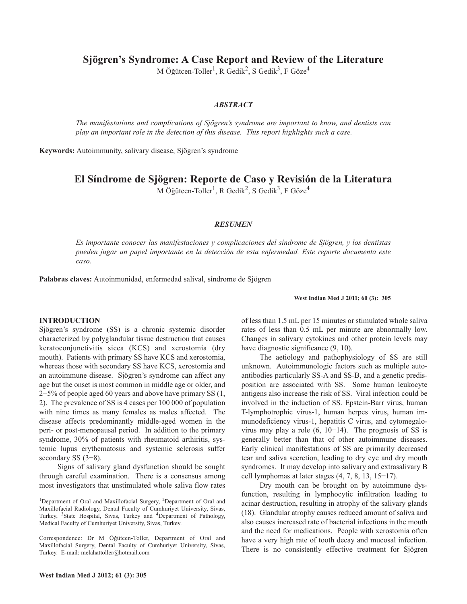**Sjögren's Syndrome: A Case Report and Review of the Literature**

M Öğütcen-Toller<sup>1</sup>, R Gedik<sup>2</sup>, S Gedik<sup>3</sup>, F Göze<sup>4</sup>

## *ABSTRACT*

*The manifestations and complications of Sjögren's syndrome are important to know, and dentists can play an important role in the detection of this disease. This report highlights such a case.*

**Keywords:** Autoimmunity, salivary disease, Sjögren's syndrome

**El Síndrome de Sjögren: Reporte de Caso y Revisión de la Literatura**

M Öğütcen-Toller<sup>1</sup>, R Gedik<sup>2</sup>, S Gedik<sup>3</sup>, F Göze<sup>4</sup>

### *RESUMEN*

*Es importante conocer las manifestaciones y complicaciones del síndrome de Sjögren, y los dentistas pueden jugar un papel importante en la detección de esta enfermedad. Este reporte documenta este caso.*

**Palabras claves:** Autoinmunidad, enfermedad salival, síndrome de Sjögren

#### **West Indian Med J 2011; 60 (3): 305**

### **INTRODUCTION**

Sjögren's syndrome (SS) is a chronic systemic disorder characterized by polyglandular tissue destruction that causes keratoconjunctivitis sicca (KCS) and xerostomia (dry mouth). Patients with primary SS have KCS and xerostomia, whereas those with secondary SS have KCS, xerostomia and an autoimmune disease. Sjögren's syndrome can affect any age but the onset is most common in middle age or older, and 2−5% of people aged 60 years and above have primary SS (1, 2). The prevalence of SS is 4 cases per 100 000 of population with nine times as many females as males affected. The disease affects predominantly middle-aged women in the peri- or post-menopausal period. In addition to the primary syndrome, 30% of patients with rheumatoid arthiritis, systemic lupus erythematosus and systemic sclerosis suffer secondary SS (3–8).

Signs of salivary gland dysfunction should be sought through careful examination. There is a consensus among most investigators that unstimulated whole saliva flow rates of less than 1.5 mL per 15 minutes or stimulated whole saliva rates of less than 0.5 mL per minute are abnormally low. Changes in salivary cytokines and other protein levels may have diagnostic significance  $(9, 10)$ .

The aetiology and pathophysiology of SS are still unknown. Autoimmunologic factors such as multiple autoantibodies particularly SS-A and SS-B, and a genetic predisposition are associated with SS. Some human leukocyte antigens also increase the risk of SS. Viral infection could be involved in the induction of SS. Epstein-Barr virus, human T-lymphotrophic virus-1, human herpes virus, human immunodeficiency virus-1, hepatitis C virus, and cytomegalovirus may play a role (6, 10−14). The prognosis of SS is generally better than that of other autoimmune diseases. Early clinical manifestations of SS are primarily decreased tear and saliva secretion, leading to dry eye and dry mouth syndromes. It may develop into salivary and extrasalivary B cell lymphomas at later stages (4, 7, 8, 13, 15−17).

Dry mouth can be brought on by autoimmune dysfunction, resulting in lymphocytic infiltration leading to acinar destruction, resulting in atrophy of the salivary glands (18). Glandular atrophy causes reduced amount of saliva and also causes increased rate of bacterial infections in the mouth and the need for medications. People with xerostomia often have a very high rate of tooth decay and mucosal infection. There is no consistently effective treatment for Sjögren

<sup>&</sup>lt;sup>1</sup>Department of Oral and Maxillofacial Surgery, <sup>2</sup>Department of Oral and Maxillofacial Radiology, Dental Faculty of Cumhuriyet University, Sivas, Turkey, <sup>3</sup>State Hospital, Sıvas, Turkey and <sup>4</sup>Department of Pathology, Medical Faculty of Cumhuriyet University, Sivas, Turkey.

Correspondence: Dr M Öğütcen-Toller, Department of Oral and Maxillofacial Surgery, Dental Faculty of Cumhuriyet University, Sivas, Turkey. E-mail: melahattoller@hotmail.com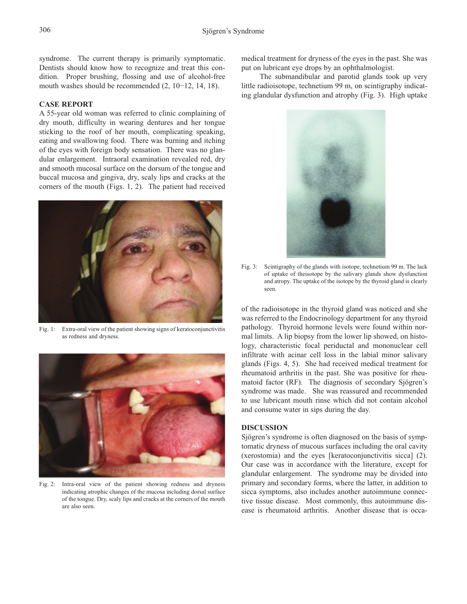syndrome. The current therapy is primarily symptomatic. Dentists should know how to recognize and treat this condition. Proper brushing, flossing and use of alcohol-free mouth washes should be recommended (2, 10−12, 14, 18).

# **CASE REPORT**

A 55-year old woman was referred to clinic complaining of dry mouth, difficulty in wearing dentures and her tongue sticking to the roof of her mouth, complicating speaking, eating and swallowing food. There was burning and itching of the eyes with foreign body sensation. There was no glandular enlargement. Intraoral examination revealed red, dry and smooth mucosal surface on the dorsum of the tongue and buccal mucosa and gingiva, dry, scaly lips and cracks at the corners of the mouth (Figs. 1, 2). The patient had received



Fig. 1: Extra-oral view of the patient showing signs of keratoconjunctivitis as redness and dryness.



Fig. 2: Intra-oral view of the patient showing redness and dryness indicating atrophic changes of the mucosa including dorsal surface of the tongue. Dry, scaly lips and cracks at the corners of the mouth are also seen.

medical treatment for dryness of the eyes in the past. She was put on lubricant eye drops by an ophthalmologist.

The submandibular and parotid glands took up very little radioisotope, technetium 99 m, on scintigraphy indicating glandular dysfunction and atrophy (Fig. 3). High uptake



Fig. 3: Scintigraphy of the glands with isotope, technetium 99 m. The lack of uptake of theisotope by the salivary glands show dysfunction and atropy. The uptake of the isotope by the thyroid gland is clearly seen.

of the radioisotope in the thyroid gland was noticed and she was referred to the Endocrinology department for any thyroid pathology. Thyroid hormone levels were found within normal limits. A lip biopsy from the lower lip showed, on histology, characteristic focal periductal and mononuclear cell infiltrate with acinar cell loss in the labial minor salivary glands (Figs. 4, 5). She had received medical treatment for rheumatoid arthritis in the past. She was positive for rheumatoid factor (RF). The diagnosis of secondary Sjögren's syndrome was made. She was reassured and recommended to use lubricant mouth rinse which did not contain alcohol and consume water in sips during the day.

# **DISCUSSION**

Sjögren's syndrome is often diagnosed on the basis of symptomatic dryness of mucous surfaces including the oral cavity (xerostomia) and the eyes [keratoconjunctivitis sicca] (2). Our case was in accordance with the literature, except for glandular enlargement. The syndrome may be divided into primary and secondary forms, where the latter, in addition to sicca symptoms, also includes another autoimmune connective tissue disease. Most commonly, this autoimmune disease is rheumatoid arthritis. Another disease that is occa-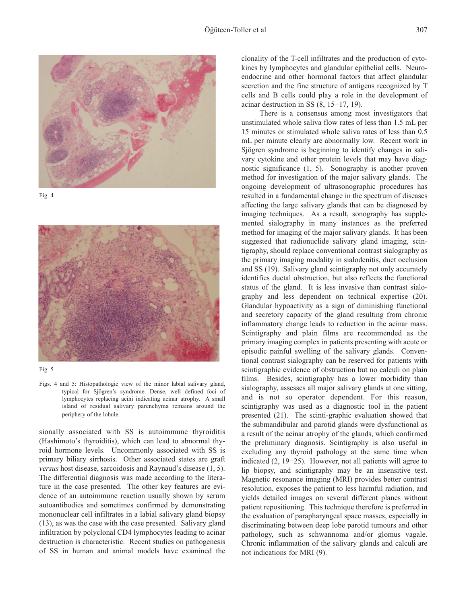







Figs. 4 and 5: Histopathologic view of the minor labial salivary gland, typical for Sjögren's syndrome. Dense, well defined foci of lymphocytes replacing acini indicating acinar atrophy. A small island of residual salivary parenchyma remains around the periphery of the lobule.

sionally associated with SS is autoimmune thyroiditis (Hashimoto's thyroiditis), which can lead to abnormal thyroid hormone levels. Uncommonly associated with SS is primary biliary sirrhosis. Other associated states are graft *versus* host disease, sarcoidosis and Raynaud's disease (1, 5). The differential diagnosis was made according to the literature in the case presented. The other key features are evidence of an autoimmune reaction usually shown by serum autoantibodies and sometimes confirmed by demonstrating mononuclear cell infiltrates in a labial salivary gland biopsy (13), as was the case with the case presented. Salivary gland infiltration by polyclonal CD4 lymphocytes leading to acinar destruction is characteristic. Recent studies on pathogenesis of SS in human and animal models have examined the clonality of the T-cell infiltrates and the production of cytokines by lymphocytes and glandular epithelial cells. Neuroendocrine and other hormonal factors that affect glandular secretion and the fine structure of antigens recognized by T cells and B cells could play a role in the development of acinar destruction in SS (8, 15−17, 19).

There is a consensus among most investigators that unstimulated whole saliva flow rates of less than 1.5 mL per 15 minutes or stimulated whole saliva rates of less than 0.5 mL per minute clearly are abnormally low. Recent work in Sjögren syndrome is beginning to identify changes in salivary cytokine and other protein levels that may have diagnostic significance (1, 5). Sonography is another proven method for investigation of the major salivary glands. The ongoing development of ultrasonographic procedures has resulted in a fundamental change in the spectrum of diseases affecting the large salivary glands that can be diagnosed by imaging techniques. As a result, sonography has supplemented sialography in many instances as the preferred method for imaging of the major salivary glands. It has been suggested that radionuclide salivary gland imaging, scintigraphy, should replace conventional contrast sialography as the primary imaging modality in sialodenitis, duct occlusion and SS (19). Salivary gland scintigraphy not only accurately identifies ductal obstruction, but also reflects the functional status of the gland. It is less invasive than contrast sialography and less dependent on technical expertise (20). Glandular hypoactivity as a sign of diminishing functional and secretory capacity of the gland resulting from chronic inflammatory change leads to reduction in the acinar mass. Scintigraphy and plain films are recommended as the primary imaging complex in patients presenting with acute or episodic painful swelling of the salivary glands. Conventional contrast sialography can be reserved for patients with scintigraphic evidence of obstruction but no calculi on plain films. Besides, scintigraphy has a lower morbidity than sialography, assesses all major salivary glands at one sitting, and is not so operator dependent. For this reason, scintigraphy was used as a diagnostic tool in the patient presented (21). The scinti-graphic evaluation showed that the submandibular and parotid glands were dysfunctional as a result of the acinar atrophy of the glands, which confirmed the preliminary diagnosis. Scintigraphy is also useful in excluding any thyroid pathology at the same time when indicated (2, 19−25). However, not all patients will agree to lip biopsy, and scintigraphy may be an insensitive test. Magnetic resonance imaging (MRI) provides better contrast resolution, exposes the patient to less harmful radiation, and yields detailed images on several different planes without patient repositioning. This technique therefore is preferred in the evaluation of parapharyngeal space masses, especially in discriminating between deep lobe parotid tumours and other pathology, such as schwannoma and/or glomus vagale. Chronic inflammation of the salivary glands and calculi are not indications for MRI (9).